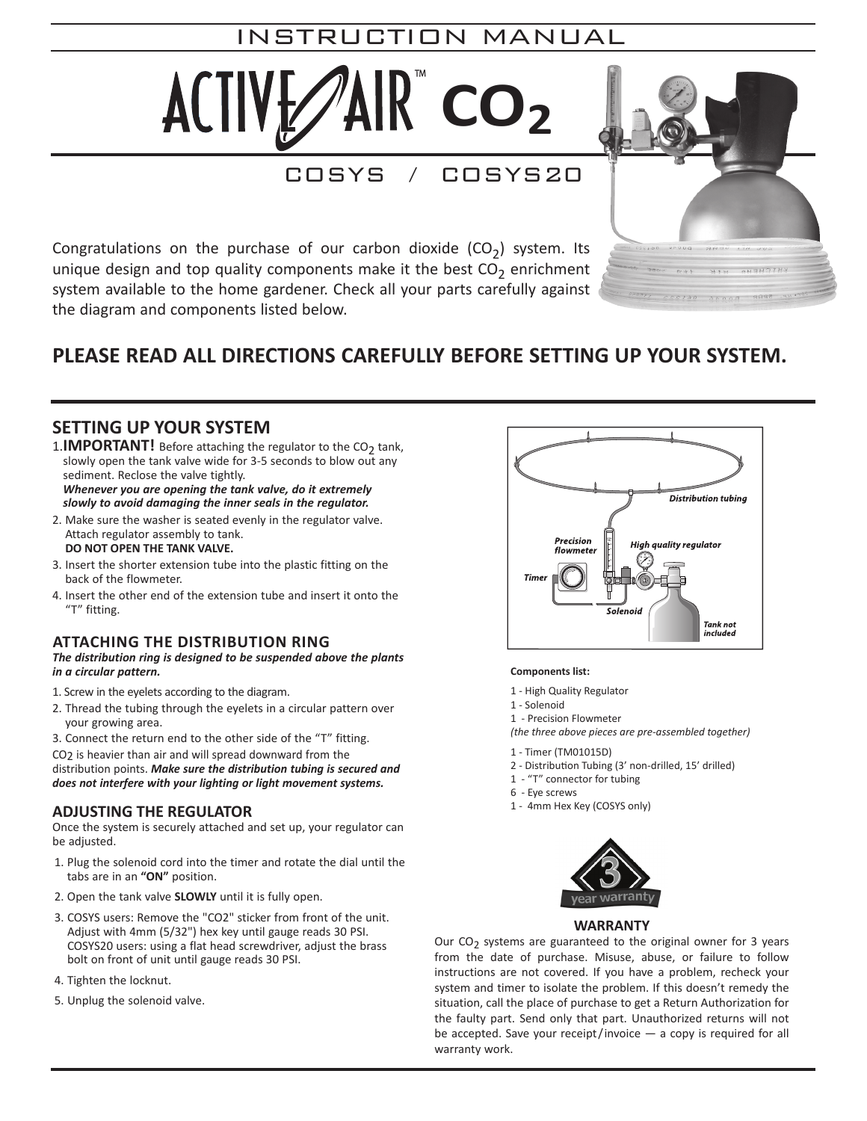# **CO2 Instructions** INSTRUCTION MANUAL

 $\text{HVE}\text{/AlR}^{\text{w}}$  CO<sub>2</sub>

**carefully against the diagram and components listed below.**

**PLEASE READ ALL DIRECTIONS CAREFULLY** 

**Congratulations on the purchase of our carbon dioxide (CO2) system.** 

COSYS / COSYS20

*\* NOTE: THIS UNIT IS NOT DESIGNED TO BE USED WITH ELECTRONIC CONTROLLERS. THE CONSTANT SWITCHING ON & OFF OF THE CO2 WILL CAUSE COMPONENTS TO FREEZE. THIS*

Congratulations on the purchase of our carbon dioxide  $(CO_2)$  system. Its unique design and top quality components make it the best  $CO_2$  enrichment system available to the home gardener. Check all your parts carefully against the diagram and components listed below. *ing the tank valve, do it extremely slowly to avoid damag-***SETTING UP YOUR SYSTEM**  $\epsilon$  partners of our canon aloxide  $(C_2)$  system its secure home gardener. Check all your parts carefully against **ADJUSTING THE REGULATOR** until the tabs are in an "ON" position.

3. Insert the shorter extension tube into the plastic fitting on

**BEFORE SETTING UP YOUR SYSTEM.**

#### PLEASE READ ALL DIRECTIONS CAREFULLY BEFORE SETTING UP YOUR SYSTEM. **DIRECTIONS CAREFUL** 3. Now, using a screwdriver and a crescent wrench adjust the : SETTING OP

# **SETTING UP YOUR SYSTEM**

1. **IMPORTANT!** Before attaching the regulator to the CO<sub>2</sub> tank, slowly open the tank valve wide for 3-5 seconds to blow out any sediment. Reclose the valve tightly. sediment. Reclose the valve tightly.<br>**Whenever you are opening the tank valve, do it extremely** thing the regulator to

*slowly to avoid damaging the inner seals in the regulator. plants in a circular pattern. The distribution ring is designed to be suspended above the*

- 2. Make sure the washer is seated evenly in the regulator valve. Attach regulator assembly to tank. **DO NOT OPEN THE TANK VALVE.**
- **3.** Insert the shorter extension tube into the plastic fitting on the back of the flowmeter. we mo the plastic i
- 4. Insert the other end of the extension tube and insert it onto the "T" fitting.

#### **ATTACHING THE Distribution Ring** bution points. *Make sure the distribution tubing is secured and does not interfere with your lighting or light movement systems.*

*The distribution ring is designed to be suspended above the plants in a circular pattern.*

- 1. Screw in the eyelets according to the diagram.
- 2. Thread the tubing through the eyelets in a circular pattern over  $\frac{1-\text{Solenoid}}{1-\text{Solenoid}}$ your growing area. Our Consequent to the original original original original original original original original original original or failure to follow the date of purchase. Misuse, abuse, abuse, abuse, abuse, abuse,  $\frac{1}{2}$  and  $\frac{1}{2}$ edy the situation, call the place of purchase to get a Return Authorization for the faulty part. Send only that part. Unauthorized 1 - Precision Flowmeter
- 3. Connect the return end to the other side of the "T" fitting.

CO2 is heavier than air and will spread downward from the distribution points. *Make sure the distribution tubing is secured and does not interfere with your lighting or light movement systems.*

# **ADJUSTING THE REGULATOR**

Once the system is securely attached and set up, your regulator can be adjusted.

- 1. Plug the solenoid cord into the timer and rotate the dial until the tabs are in an **"ON"** position.
- 2. Open the tank valve **SLOWLY** until it is fully open.
- 3. COSYS users: Remove the "CO2" sticker from front of the unit. Adjust with 4mm (5/32") hex key until gauge reads 30 PSI. COSYS20 users: using a flat head screwdriver, adjust the brass bolt on front of unit until gauge reads 30 PSI.
- 4. Tighten the locknut.
- 5. Unplug the solenoid valve.



 $C.H = H$ 

#### **Components list:**

- 1 High Quality Regulator
- 1 Solenoid
- 

*(the three above pieces are pre-assembled together)*<br> *(the three above pieces are pre-assembled together)* 

- 1 Timer (TM01015D)
- 2 Distribution Tubing (3' non-drilled, 15' drilled)
- 1 "T" connector for tubing
- 6 Eye screws
- 1 4mm Hex Key (COSYS only)



### **WARRANTY**

Our  $CO<sub>2</sub>$  systems are guaranteed to the original owner for 3 years from the date of purchase. Misuse, abuse, or failure to follow instructions are not covered. If you have a problem, recheck your system and timer to isolate the problem. If this doesn't remedy the situation, call the place of purchase to get a Return Authorization for the faulty part. Send only that part. Unauthorized returns will not be accepted. Save your receipt/invoice — a copy is required for all warranty work.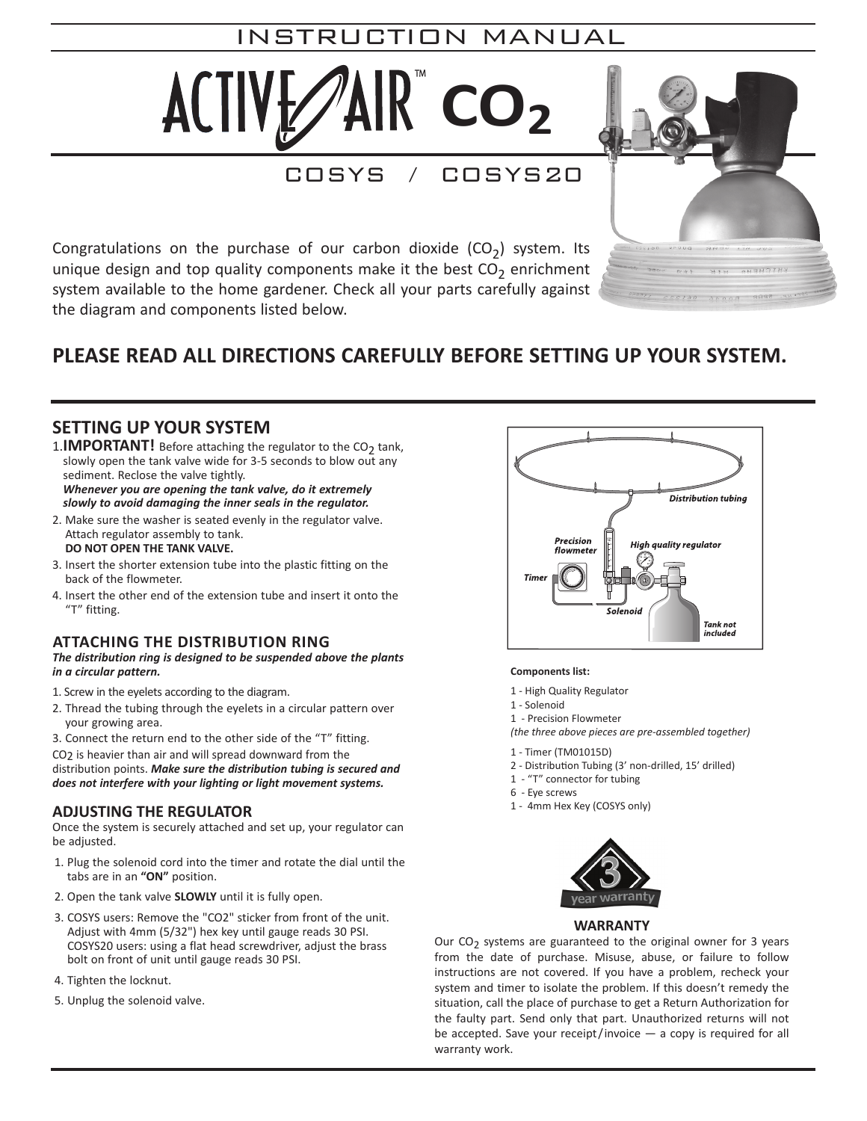# **CO2 Instructions** INSTRUCTION MANUAL

 $\text{HVE}\text{/AIR}$   $\text{CO}_2$ 

**carefully against the diagram and components listed below.**

**PLEASE READ ALL DIRECTIONS CAREFULLY** 

**Congratulations on the purchase of our carbon dioxide (CO2) system.** 

COSYS / COSYS20

*\* NOTE: THIS UNIT IS NOT DESIGNED TO BE USED WITH ELECTRONIC CONTROLLERS. THE CONSTANT SWITCHING ON & OFF OF THE CO2 WILL CAUSE COMPONENTS TO FREEZE. THIS*

Congratulations on the purchase of our carbon dioxide  $(CO_2)$  system. Its unique design and top quality components make it the best  $CO_2$  enrichment system available to the home gardener. Check all your parts carefully against the diagram and components listed below. *ing the tank valve, do it extremely slowly to avoid damag-***SETTING UP YOUR SYSTEM**  $\epsilon$  partners of our canon aloxide  $(C_2)$  system its secure home gardener. Check all your parts carefully against **ADJUSTING THE REGULATOR** until the tabs are in an "ON" position.

3. Insert the shorter extension tube into the plastic fitting on

**BEFORE SETTING UP YOUR SYSTEM.**

#### PLEASE READ ALL DIRECTIONS CAREFULLY BEFORE SETTING UP YOUR SYSTEM. **DIRECTIONS CAREFUL** 3. Now, using a screwdriver and a crescent wrench adjust the : SETTING OP

# **SETTING UP YOUR SYSTEM**

1. **IMPORTANT!** Before attaching the regulator to the CO<sub>2</sub> tank, slowly open the tank valve wide for 3-5 seconds to blow out any sediment. Reclose the valve tightly. sediment. Reclose the valve tightly.<br>**Whenever you are opening the tank valve, do it extremely** thing the regulator to

*slowly to avoid damaging the inner seals in the regulator. plants in a circular pattern. The distribution ring is designed to be suspended above the*

- 2. Make sure the washer is seated evenly in the regulator valve. Attach regulator assembly to tank. **DO NOT OPEN THE TANK VALVE.**
- **3.** Insert the shorter extension tube into the plastic fitting on the back of the flowmeter. we mo the plastic i
- 4. Insert the other end of the extension tube and insert it onto the "T" fitting.

#### **ATTACHING THE DISTRIbUTION RING** bution points. *Make sure the distribution tubing is secured and does not interfere with your lighting or light movement systems.*

*The distribution ring is designed to be suspended above the plants in a circular pattern.*

- 1. Screw in the eyelets according to the diagram.
- 2. Thread the tubing through the eyelets in a circular pattern over  $\frac{1-\text{Solenoid}}{1-\text{Solenoid}}$ your growing area. Our Consequent to the original original original original original original original original original original or failure to follow the date of purchase. Misuse, abuse, abuse, abuse, abuse, abuse,  $\frac{1}{2}$  and  $\frac{1}{2}$ edy the situation, call the place of purchase to get a Return Authorization for the faulty part. Send only that part. Unauthorized 1 - Precision Flowmeter
- 3. Connect the return end to the other side of the "T" fitting.

CO2 is heavier than air and will spread downward from the distribution points. *Make sure the distribution tubing is secured and does not interfere with your lighting or light movement systems.*

# **ADJUSTING THE REGULATOR**

Once the system is securely attached and set up, your regulator can be adjusted.

- 1. Plug the solenoid cord into the timer and rotate the dial until the tabs are in an **"ON"** position.
- 2. Open the tank valve **SLOWLY** until it is fully open.
- 3. COSYS users: Remove the "CO2" sticker from front of the unit. Adjust with 4mm (5/32") hex key until gauge reads 30 PSI. COSYS20 users: using a flat head screwdriver, adjust the brass bolt on front of unit until gauge reads 30 PSI.
- 4. Tighten the locknut.
- 5. Unplug the solenoid valve.



 $C.H = H$ 

#### **Components list:**

- 1 High Quality Regulator
- 1 Solenoid
- 

*(the three above pieces are pre-assembled together)*<br> *(the three above pieces are pre-assembled together)* 

- 1 Timer (TM01015D)
- 2 Distribution Tubing (3' non-drilled, 15' drilled)
- 1 "T" connector for tubing
- 6 Eye screws
- 1 4mm Hex Key (COSYS only)



### **WARRANTY**

Our  $CO<sub>2</sub>$  systems are guaranteed to the original owner for 3 years from the date of purchase. Misuse, abuse, or failure to follow instructions are not covered. If you have a problem, recheck your system and timer to isolate the problem. If this doesn't remedy the situation, call the place of purchase to get a Return Authorization for the faulty part. Send only that part. Unauthorized returns will not be accepted. Save your receipt/invoice — a copy is required for all warranty work.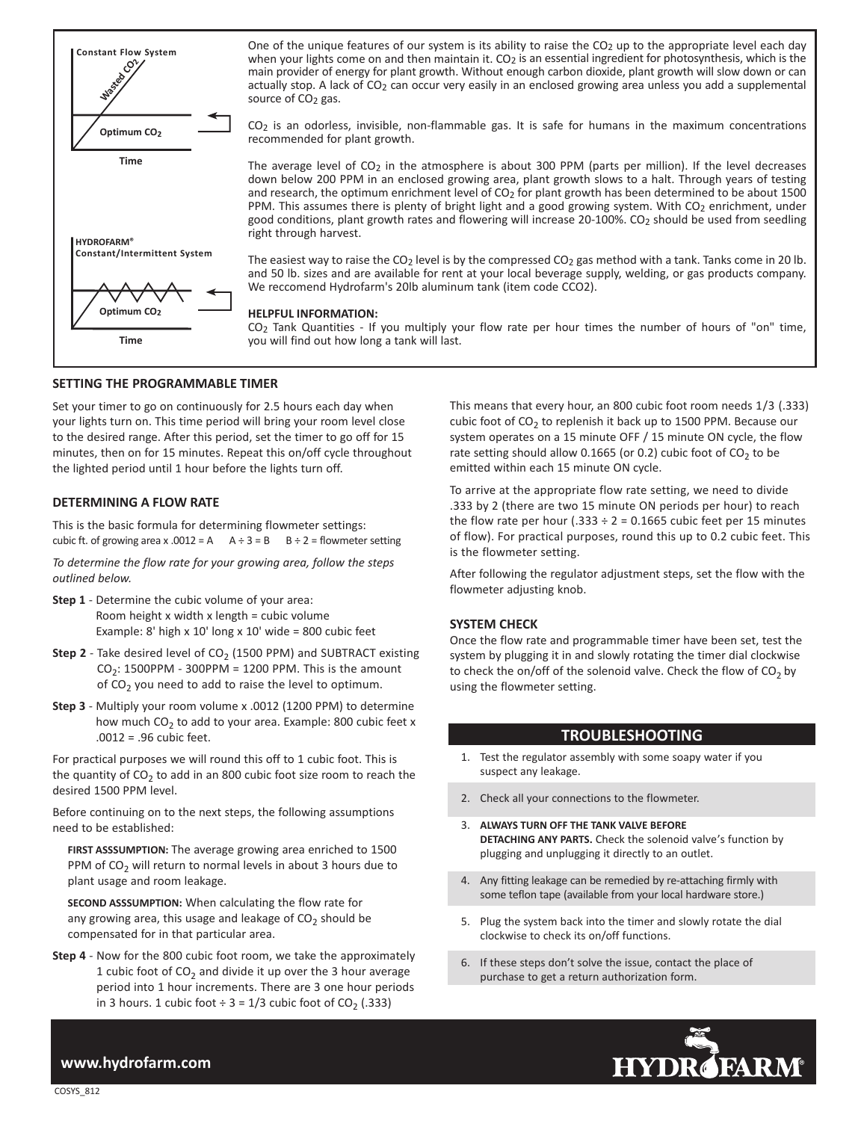

One of the unique features of our system is its ability to raise the CO<sub>2</sub> up to the appropriate level each day when your lights come on and then maintain it. CO<sub>2</sub> is an essential ingredient for photosynthesis, which is the main provider of energy for plant growth. Without enough carbon dioxide, plant growth will slow down or can actually stop. A lack of CO<sub>2</sub> can occur very easily in an enclosed growing area unless you add a supplemental source of CO<sub>2</sub> gas.

CO2 is an odorless, invisible, non-flammable gas. It is safe for humans in the maximum concentrations recommended for plant growth.

The average level of  $CO<sub>2</sub>$  in the atmosphere is about 300 PPM (parts per million). If the level decreases down below 200 PPM in an enclosed growing area, plant growth slows to a halt. Through years of testing and research, the optimum enrichment level of CO<sub>2</sub> for plant growth has been determined to be about 1500 PPM. This assumes there is plenty of bright light and a good growing system. With CO2 enrichment, under good conditions, plant growth rates and flowering will increase 20-100%. CO<sub>2</sub> should be used from seedling right through harvest.

The easiest way to raise the CO<sub>2</sub> level is by the compressed CO<sub>2</sub> gas method with a tank. Tanks come in 20 lb. and 50 lb. sizes and are available for rent at your local beverage supply, welding, or gas products company. We reccomend Hydrofarm's 20lb aluminum tank (item code CCO2).

#### **HELPFUL INFORMATION:**

CO2 Tank Quantities - If you multiply your flow rate per hour times the number of hours of "on" time, you will find out how long a tank will last.

#### **SETTING THE PROGRAMMABLE TIMER**

Set your timer to go on continuously for 2.5 hours each day when your lights turn on. This time period will bring your room level close to the desired range. After this period, set the timer to go off for 15 minutes, then on for 15 minutes. Repeat this on/off cycle throughout the lighted period until 1 hour before the lights turn off.

#### **DETERMINING A FLOW RATE**

This is the basic formula for determining flowmeter settings: cubic ft. of growing area x .0012 = A  $A \div 3 = B$   $B \div 2 =$  flowmeter setting

*To determine the flow rate for your growing area, follow the steps outlined below.*

- **Step 1** Determine the cubic volume of your area: Room height x width x length = cubic volume Example: 8' high  $x$  10' long  $x$  10' wide = 800 cubic feet
- **Step 2** Take desired level of CO<sub>2</sub> (1500 PPM) and SUBTRACT existing  $CO<sub>2</sub>: 1500PPM - 300PPM = 1200 PPM$ . This is the amount of  $CO<sub>2</sub>$  you need to add to raise the level to optimum.
- **Step 3** Multiply your room volume x .0012 (1200 PPM) to determine how much  $CO<sub>2</sub>$  to add to your area. Example: 800 cubic feet x .0012 = .96 cubic feet.

For practical purposes we will round this off to 1 cubic foot. This is the quantity of  $CO<sub>2</sub>$  to add in an 800 cubic foot size room to reach the desired 1500 PPM level.

Before continuing on to the next steps, the following assumptions need to be established:

**FIRST ASSSUMPTION:** The average growing area enriched to 1500 PPM of  $CO<sub>2</sub>$  will return to normal levels in about 3 hours due to plant usage and room leakage.

**SECOND ASSSUMPTION:** When calculating the flow rate for any growing area, this usage and leakage of  $CO<sub>2</sub>$  should be compensated for in that particular area.

**Step 4** - Now for the 800 cubic foot room, we take the approximately 1 cubic foot of  $CO<sub>2</sub>$  and divide it up over the 3 hour average period into 1 hour increments. There are 3 one hour periods in 3 hours. 1 cubic foot  $\div$  3 = 1/3 cubic foot of CO<sub>2</sub> (.333)

This means that every hour, an 800 cubic foot room needs 1/3 (.333) cubic foot of  $CO<sub>2</sub>$  to replenish it back up to 1500 PPM. Because our system operates on a 15 minute OFF / 15 minute ON cycle, the flow rate setting should allow 0.1665 (or 0.2) cubic foot of  $CO<sub>2</sub>$  to be emitted within each 15 minute ON cycle.

To arrive at the appropriate flow rate setting, we need to divide .333 by 2 (there are two 15 minute ON periods per hour) to reach the flow rate per hour (.333  $\div$  2 = 0.1665 cubic feet per 15 minutes of flow). For practical purposes, round this up to 0.2 cubic feet. This is the flowmeter setting.

After following the regulator adjustment steps, set the flow with the flowmeter adjusting knob.

#### **SYSTEM CHECK**

Once the flow rate and programmable timer have been set, test the system by plugging it in and slowly rotating the timer dial clockwise to check the on/off of the solenoid valve. Check the flow of  $CO<sub>2</sub>$  by using the flowmeter setting.

## **TROUBLESHOOTING**

- 1. Test the regulator assembly with some soapy water if you suspect any leakage.
- 2. Check all your connections to the flowmeter.
- 3. **ALWAYS TURN OFF THE TANK VALVE BEFORE DETACHING ANY PARTS.** Check the solenoid valve's function by plugging and unplugging it directly to an outlet.
- 4. Any fitting leakage can be remedied by re-attaching firmly with some teflon tape (available from your local hardware store.)
- 5. Plug the system back into the timer and slowly rotate the dial clockwise to check its on/off functions.
- 6. If these steps don't solve the issue, contact the place of purchase to get a return authorization form.



# **www.hydrofarm.com**